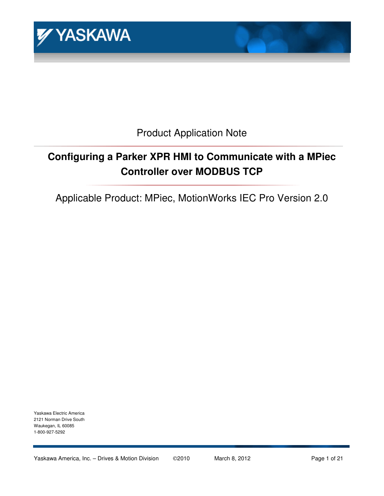

Product Application Note

# **Configuring a Parker XPR HMI to Communicate with a MPiec Controller over MODBUS TCP**

Applicable Product: MPiec, MotionWorks IEC Pro Version 2.0

Yaskawa Electric America 2121 Norman Drive South Waukegan, IL 60085 1-800-927-5292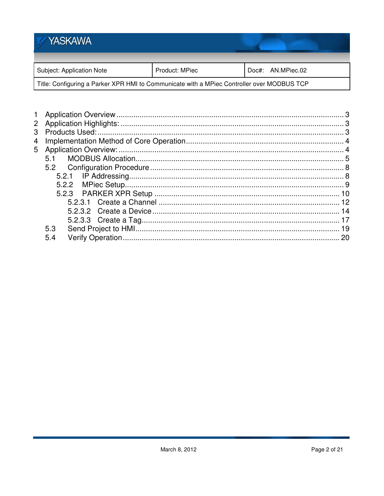## **YASKAWA** Subject: Application Note Product: MPiec Doc#: AN.MPiec.02 Title: Configuring a Parker XPR HMI to Communicate with a MPiec Controller over MODBUS TCP

| $\overline{2}$ |     |  |
|----------------|-----|--|
| 3              |     |  |
| 4              |     |  |
| 5              |     |  |
|                | 5.1 |  |
|                | 5.2 |  |
|                |     |  |
|                |     |  |
|                |     |  |
|                |     |  |
|                |     |  |
|                |     |  |
|                | 5.3 |  |
|                | 5.4 |  |
|                |     |  |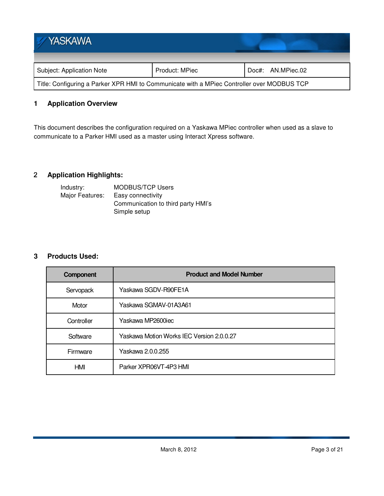| <b>YASKAWA</b>                                                                             |                |                   |  |
|--------------------------------------------------------------------------------------------|----------------|-------------------|--|
| Subject: Application Note                                                                  | Product: MPiec | Doc#: AN.MPiec.02 |  |
| Title: Configuring a Parker XPR HMI to Communicate with a MPiec Controller over MODBUS TCP |                |                   |  |

## **1 Application Overview**

This document describes the configuration required on a Yaskawa MPiec controller when used as a slave to communicate to a Parker HMI used as a master using Interact Xpress software.

## **Application Highlights:**

| Industry:       | <b>MODBUS/TCP Users</b>            |
|-----------------|------------------------------------|
| Major Features: | Easy connectivity                  |
|                 | Communication to third party HMI's |
|                 | Simple setup                       |

## **3 Products Used:**

| <b>Component</b> | <b>Product and Model Number</b>           |
|------------------|-------------------------------------------|
| Servopack        | Yaskawa SGDV-R90FE1A                      |
| Motor            | Yaskawa SGMAV-01A3A61                     |
| Controller       | Yaskawa MP2600iec                         |
| Software         | Yaskawa Motion Works IEC Version 2.0.0.27 |
| Firmware         | Yaskawa 2.0.0.255                         |
| HMI              | Parker XPR06VT-4P3 HMI                    |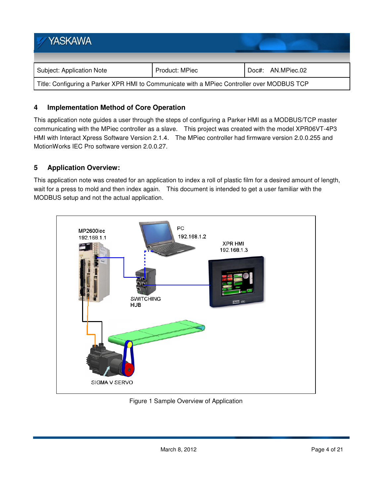| YASKAWA                                                                                    |                |                   |  |
|--------------------------------------------------------------------------------------------|----------------|-------------------|--|
| Subject: Application Note                                                                  | Product: MPiec | Doc#: AN.MPiec.02 |  |
| Title: Configuring a Parker XPR HMI to Communicate with a MPiec Controller over MODBUS TCP |                |                   |  |

## **4 Implementation Method of Core Operation**

This application note guides a user through the steps of configuring a Parker HMI as a MODBUS/TCP master communicating with the MPiec controller as a slave. This project was created with the model XPR06VT-4P3 HMI with Interact Xpress Software Version 2.1.4. The MPiec controller had firmware version 2.0.0.255 and MotionWorks IEC Pro software version 2.0.0.27.

## **5 Application Overview:**

This application note was created for an application to index a roll of plastic film for a desired amount of length, wait for a press to mold and then index again. This document is intended to get a user familiar with the MODBUS setup and not the actual application.



Figure 1 Sample Overview of Application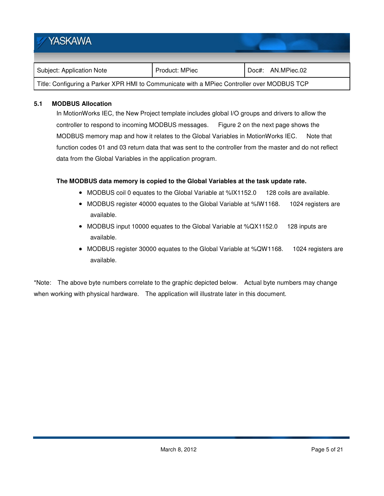| <b>YASKAWA</b>                                                                             |                |                   |  |
|--------------------------------------------------------------------------------------------|----------------|-------------------|--|
| Subject: Application Note                                                                  | Product: MPiec | Doc#: AN.MPiec.02 |  |
| Title: Configuring a Parker XPR HMI to Communicate with a MPiec Controller over MODBUS TCP |                |                   |  |

## **5.1 MODBUS Allocation**

In MotionWorks IEC, the New Project template includes global I/O groups and drivers to allow the controller to respond to incoming MODBUS messages. Figure 2 on the next page shows the MODBUS memory map and how it relates to the Global Variables in MotionWorks IEC. Note that function codes 01 and 03 return data that was sent to the controller from the master and do not reflect data from the Global Variables in the application program.

#### **The MODBUS data memory is copied to the Global Variables at the task update rate.**

- MODBUS coil 0 equates to the Global Variable at %IX1152.0 128 coils are available.
- MODBUS register 40000 equates to the Global Variable at %IW1168. 1024 registers are available.
- MODBUS input 10000 equates to the Global Variable at %QX1152.0 128 inputs are available.
- MODBUS register 30000 equates to the Global Variable at %QW1168. 1024 registers are available.

\*Note: The above byte numbers correlate to the graphic depicted below. Actual byte numbers may change when working with physical hardware. The application will illustrate later in this document.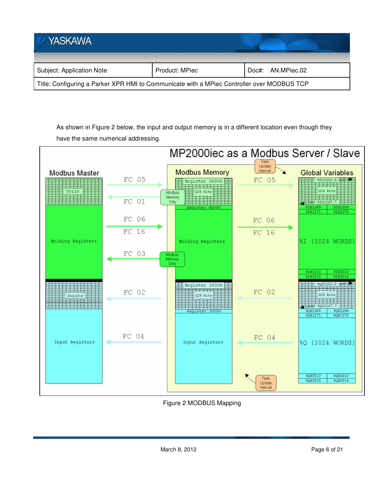| <b>YASKAWA</b>                                                                             |                |                   |  |
|--------------------------------------------------------------------------------------------|----------------|-------------------|--|
| Subject: Application Note                                                                  | Product: MPiec | Doc#: AN.MPiec.02 |  |
| Title: Configuring a Parker XPR HMI to Communicate with a MPiec Controller over MODBUS TCP |                |                   |  |

As shown in Figure 2 below, the input and output memory is in a different location even though they have the same numerical addressing.



Figure 2 MODBUS Mapping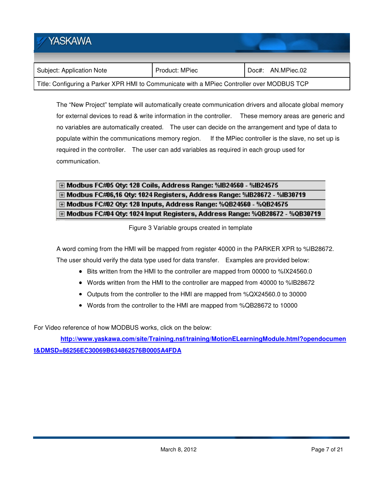| <b>YASKAWA</b>                                                                             |                |                   |  |
|--------------------------------------------------------------------------------------------|----------------|-------------------|--|
| Subject: Application Note                                                                  | Product: MPiec | Doc#: AN.MPiec.02 |  |
| Title: Configuring a Parker XPR HMI to Communicate with a MPiec Controller over MODBUS TCP |                |                   |  |

The "New Project" template will automatically create communication drivers and allocate global memory for external devices to read & write information in the controller. These memory areas are generic and no variables are automatically created. The user can decide on the arrangement and type of data to populate within the communications memory region. If the MPiec controller is the slave, no set up is required in the controller. The user can add variables as required in each group used for communication.

## H Modbus FC#05 Qty: 128 Coils, Address Range: %IB24560 - %IB24575 E Modbus FC#06,16 Qty: 1024 Registers, Address Range: %IB28672 - %IB30719 E Modbus FC#02 Qty: 128 Inputs, Address Range: %QB24560 - %QB24575 H Modbus FC#04 Qty: 1024 Input Registers, Address Range: %QB28672 - %QB30719

Figure 3 Variable groups created in template

A word coming from the HMI will be mapped from register 40000 in the PARKER XPR to %IB28672. The user should verify the data type used for data transfer. Examples are provided below:

- Bits written from the HMI to the controller are mapped from 00000 to %IX24560.0
- Words written from the HMI to the controller are mapped from 40000 to %IB28672
- Outputs from the controller to the HMI are mapped from %QX24560.0 to 30000
- Words from the controller to the HMI are mapped from %QB28672 to 10000

For Video reference of how MODBUS works, click on the below:

**http://www.yaskawa.com/site/Training.nsf/training/MotionELearningModule.html?opendocumen t&DMSD=86256EC30069B634862576B0005A4FDA**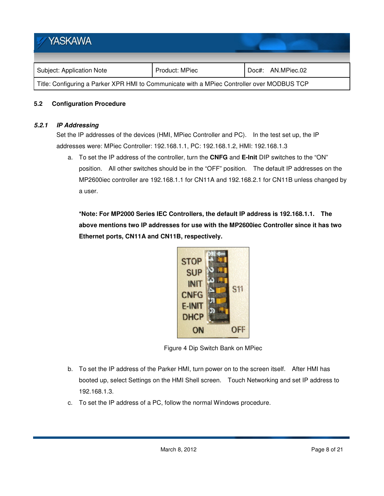| <b>YASKAWA</b>                                                                             |                |                   |  |
|--------------------------------------------------------------------------------------------|----------------|-------------------|--|
| Subject: Application Note                                                                  | Product: MPiec | Doc#: AN.MPiec.02 |  |
| Title: Configuring a Parker XPR HMI to Communicate with a MPiec Controller over MODBUS TCP |                |                   |  |

#### **5.2 Configuration Procedure**

#### **5.2.1 IP Addressing**

Set the IP addresses of the devices (HMI, MPiec Controller and PC). In the test set up, the IP addresses were: MPiec Controller: 192.168.1.1, PC: 192.168.1.2, HMI: 192.168.1.3

a. To set the IP address of the controller, turn the **CNFG** and **E-Init** DIP switches to the "ON" position. All other switches should be in the "OFF" position. The default IP addresses on the MP2600iec controller are 192.168.1.1 for CN11A and 192.168.2.1 for CN11B unless changed by a user.

**\*Note: For MP2000 Series IEC Controllers, the default IP address is 192.168.1.1. The above mentions two IP addresses for use with the MP2600iec Controller since it has two Ethernet ports, CN11A and CN11B, respectively.** 



Figure 4 Dip Switch Bank on MPiec

- b. To set the IP address of the Parker HMI, turn power on to the screen itself. After HMI has booted up, select Settings on the HMI Shell screen. Touch Networking and set IP address to 192.168.1.3.
- c. To set the IP address of a PC, follow the normal Windows procedure.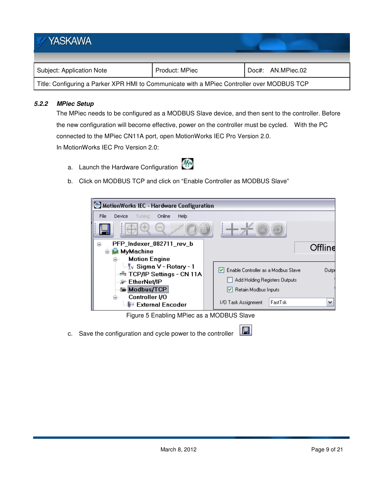| <b>YASKAWA</b>                                                                             |                |                   |  |
|--------------------------------------------------------------------------------------------|----------------|-------------------|--|
| Subject: Application Note                                                                  | Product: MPiec | Doc#: AN.MPiec.02 |  |
| Title: Configuring a Parker XPR HMI to Communicate with a MPiec Controller over MODBUS TCP |                |                   |  |

## **5.2.2 MPiec Setup**

The MPiec needs to be configured as a MODBUS Slave device, and then sent to the controller. Before the new configuration will become effective, power on the controller must be cycled. With the PC connected to the MPiec CN11A port, open MotionWorks IEC Pro Version 2.0. In MotionWorks IEC Pro Version 2.0:

- a. Launch the Hardware Configuration
- b. Click on MODBUS TCP and click on "Enable Controller as MODBUS Slave"



H

Figure 5 Enabling MPiec as a MODBUS Slave

c. Save the configuration and cycle power to the controller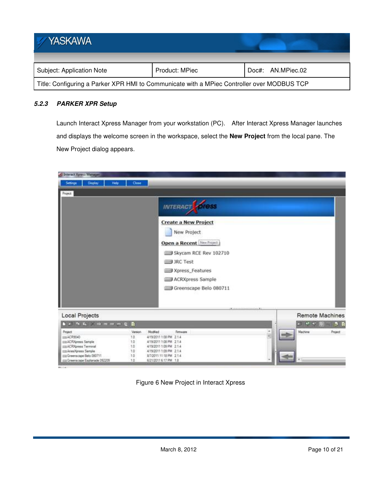| <b>YASKAWA</b>                                                                             |                |                   |  |
|--------------------------------------------------------------------------------------------|----------------|-------------------|--|
| Subject: Application Note                                                                  | Product: MPiec | Doc#: AN.MPiec.02 |  |
| Title: Configuring a Parker XPR HMI to Communicate with a MPiec Controller over MODBUS TCP |                |                   |  |

## **5.2.3 PARKER XPR Setup**

Launch Interact Xpress Manager from your workstation (PC). After Interact Xpress Manager launches and displays the welcome screen in the workspace, select the **New Project** from the local pane. The New Project dialog appears.

| <b>Millenet Xpress Manager</b>                                |           |                                                                                                                                                                                                                                      |                                         |                                                                                                                           |
|---------------------------------------------------------------|-----------|--------------------------------------------------------------------------------------------------------------------------------------------------------------------------------------------------------------------------------------|-----------------------------------------|---------------------------------------------------------------------------------------------------------------------------|
| Display<br>Holp<br>Settings                                   | Close     |                                                                                                                                                                                                                                      |                                         |                                                                                                                           |
| <b>Project</b>                                                |           |                                                                                                                                                                                                                                      |                                         |                                                                                                                           |
|                                                               |           | INTERACT OF 1955<br><b>Create a New Project</b><br>New Project<br>Open a Recent New Project<br>Skycam RCE Rev 102710<br><b>SIME JRC Test</b><br><b>Simil Xpress_Features</b><br><b>EE ACRXpress Sample</b><br>Greenscape Belo 080711 | <b>With a contract product of the W</b> |                                                                                                                           |
| Local Projects                                                |           |                                                                                                                                                                                                                                      |                                         | <b>Remote Machines</b>                                                                                                    |
| by the fall of the motor of D                                 |           |                                                                                                                                                                                                                                      |                                         | $\begin{array}{cccccccccccccc} \star & \star & \star & \circ & \circ & \circ & \circ & \circ & \circ & \circ \end{array}$ |
| Project                                                       | Version   | Modified<br>Femuure                                                                                                                                                                                                                  |                                         | Machine<br><b>Project</b>                                                                                                 |
| IIII ACR5040                                                  | 1.0       | 4/19/2011 1:08 PM 2:14                                                                                                                                                                                                               |                                         |                                                                                                                           |
| <b>ELIACRXpress Sample</b>                                    | 1.0       | 4/19/2011 1:08 PM 2:1.4                                                                                                                                                                                                              |                                         |                                                                                                                           |
| <b>ELIACRXpress Terminal</b>                                  | tó        | 4/19/2011 1:05 PM 2:1.4                                                                                                                                                                                                              |                                         |                                                                                                                           |
| IIII Aries/Gress Sample                                       | 10        | 4/19/2011 1:09 PM 2:1.4                                                                                                                                                                                                              |                                         |                                                                                                                           |
| IIII Greenscape Belo 080711<br>EL Greenscape Esplanade 092209 | 10<br>1.0 | 8/2011 11:15 PM 2.1.4<br>6/21/2011 6:17 PM 1.8                                                                                                                                                                                       |                                         |                                                                                                                           |
|                                                               |           |                                                                                                                                                                                                                                      |                                         |                                                                                                                           |
| <b>IN ALL</b>                                                 |           |                                                                                                                                                                                                                                      |                                         |                                                                                                                           |

Figure 6 New Project in Interact Xpress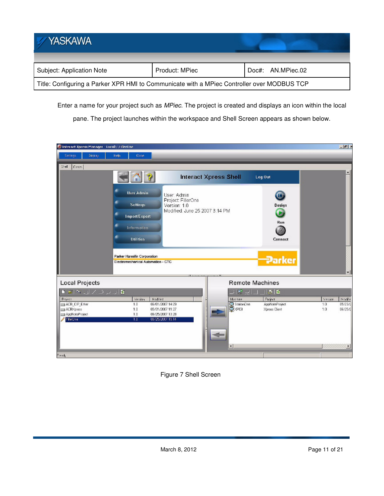| YASKAWA                                                                                    |                |                   |
|--------------------------------------------------------------------------------------------|----------------|-------------------|
| Subject: Application Note                                                                  | Product: MPiec | Doc#: AN.MPiec.02 |
| Title: Configuring a Parker XPR HMI to Communicate with a MPiec Controller over MODBUS TCP |                |                   |

Enter a name for your project such as MPiec. The project is created and displays an icon within the local

pane. The project launches within the workspace and Shell Screen appears as shown below.



Figure 7 Shell Screen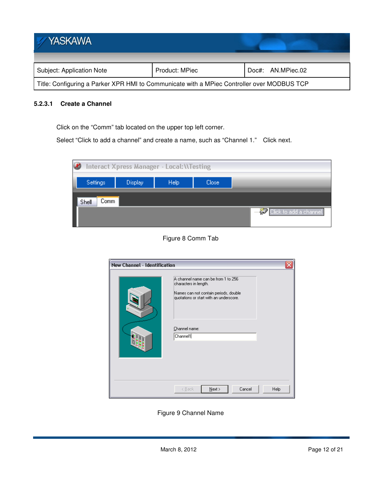| <b>YASKAWA</b>                                                                             |                |                   |
|--------------------------------------------------------------------------------------------|----------------|-------------------|
|                                                                                            |                |                   |
| Subject: Application Note                                                                  | Product: MPiec | Doc#: AN.MPiec.02 |
| Title: Configuring a Parker XPR HMI to Communicate with a MPiec Controller over MODBUS TCP |                |                   |

## **5.2.3.1 Create a Channel**

Click on the "Comm" tab located on the upper top left corner.

Select "Click to add a channel" and create a name, such as "Channel 1." Click next.



## Figure 8 Comm Tab

| <b>New Channel - Identification</b> |                                                                                                                                                                               |  |
|-------------------------------------|-------------------------------------------------------------------------------------------------------------------------------------------------------------------------------|--|
|                                     | A channel name can be from 1 to 256<br>characters in length.<br>Names can not contain periods, double<br>quotations or start with an underscore.<br>Channel name:<br>Channel1 |  |
|                                     | Cancel<br>$N$ ext ><br>< Back<br><b>Help</b>                                                                                                                                  |  |

Figure 9 Channel Name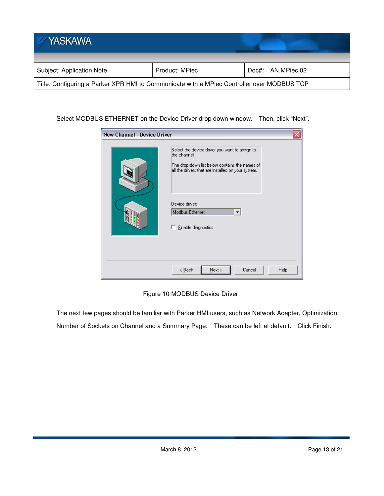| YASKAWA                                                                                    |                |                   |
|--------------------------------------------------------------------------------------------|----------------|-------------------|
|                                                                                            |                |                   |
| Subject: Application Note                                                                  | Product: MPiec | Doc#: AN.MPiec.02 |
| Title: Configuring a Parker XPR HMI to Communicate with a MPiec Controller over MODBUS TCP |                |                   |

Select MODBUS ETHERNET on the Device Driver drop down window. Then, click "Next".

| <b>New Channel - Device Driver</b> |                                                                                                                                                                        |  |
|------------------------------------|------------------------------------------------------------------------------------------------------------------------------------------------------------------------|--|
|                                    | Select the device driver you want to assign to<br>the channel.<br>The drop-down list below contains the names of<br>all the drivers that are installed on your system. |  |
|                                    | Device driver:<br>Modbus Ethernet<br>$\blacktriangledown$<br>Enable diagnostics                                                                                        |  |
|                                    | Cancel<br>$N$ ext ><br>< <u>B</u> ack<br>Help                                                                                                                          |  |

Figure 10 MODBUS Device Driver

The next few pages should be familiar with Parker HMI users, such as Network Adapter, Optimization,

Number of Sockets on Channel and a Summary Page. These can be left at default. Click Finish.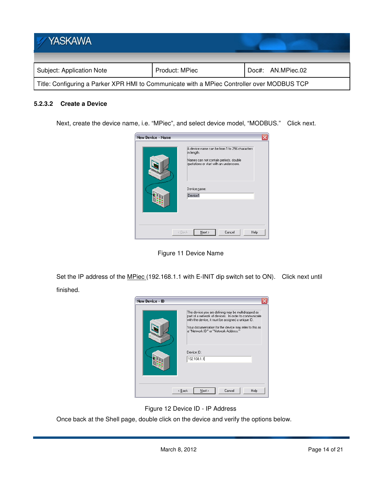| <b>YASKAWA</b>                                                                             |                |                   |
|--------------------------------------------------------------------------------------------|----------------|-------------------|
|                                                                                            |                |                   |
| Subject: Application Note                                                                  | Product: MPiec | Doc#: AN.MPiec.02 |
| Title: Configuring a Parker XPR HMI to Communicate with a MPiec Controller over MODBUS TCP |                |                   |

#### **5.2.3.2 Create a Device**

Next, create the device name, i.e. "MPiec", and select device model, "MODBUS." Click next.



Figure 11 Device Name

Set the IP address of the MPiec (192.168.1.1 with E-INIT dip switch set to ON). Click next until finished.



Figure 12 Device ID - IP Address

Once back at the Shell page, double click on the device and verify the options below.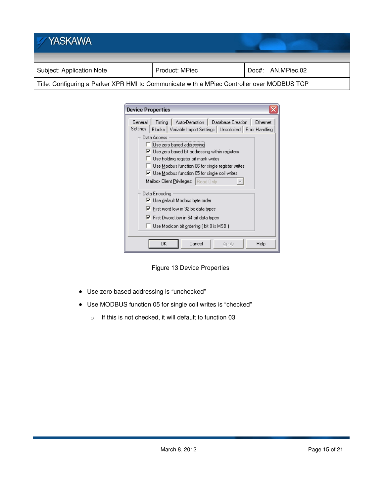| <b>YASKAWA</b>                                                                             |                |  |                   |
|--------------------------------------------------------------------------------------------|----------------|--|-------------------|
| Subject: Application Note                                                                  | Product: MPiec |  | Doc#: AN.MPiec.02 |
| Title: Configuring a Parker XPR HMI to Communicate with a MPiec Controller over MODBUS TCP |                |  |                   |

| <b>Device Properties</b>                                                                                                                                                                                                                                                                                                                                                                                                                                                                                                                                                                                                                                |
|---------------------------------------------------------------------------------------------------------------------------------------------------------------------------------------------------------------------------------------------------------------------------------------------------------------------------------------------------------------------------------------------------------------------------------------------------------------------------------------------------------------------------------------------------------------------------------------------------------------------------------------------------------|
| Timing   Auto-Demotion  <br>Database Creation  <br>Ethernet<br>General<br>Settings<br>Blocks   Variable Import Settings   Unsolicited   Error Handling<br>Data Access<br>Use zero based addressing<br>$\triangledown$ Use zero based bit addressing within registers<br>Use holding register bit mask writes<br>Use Modbus function 06 for single register writes<br>$\triangledown$ Use Modbus function 05 for single coil writes<br>Mailbox Client <u>P</u> rivileges:   Read Only<br>Data Encoding<br>V Use default Modbus byte order<br>$\triangledown$ First word low in 32 bit data types<br>$\triangledown$ First Dword low in 64 bit data types |
| Use Modicon bit ordering (bit 0 is MSB)                                                                                                                                                                                                                                                                                                                                                                                                                                                                                                                                                                                                                 |
| OΚ<br>Cancel<br>Help<br>Apply                                                                                                                                                                                                                                                                                                                                                                                                                                                                                                                                                                                                                           |

Figure 13 Device Properties

- Use zero based addressing is "unchecked"
- Use MODBUS function 05 for single coil writes is "checked"
	- o If this is not checked, it will default to function 03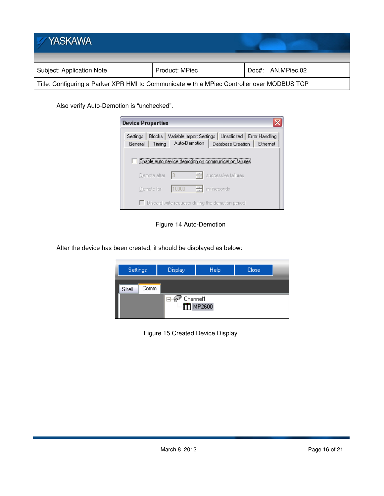| YASKAWA                                                                                    |                |                   |
|--------------------------------------------------------------------------------------------|----------------|-------------------|
| Subject: Application Note                                                                  | Product: MPiec | Doc#: AN.MPiec.02 |
| Title: Configuring a Parker XPR HMI to Communicate with a MPiec Controller over MODBUS TCP |                |                   |

Also verify Auto-Demotion is "unchecked".

| <b>Device Properties</b>                                 |              |               |                                                                                       |          |
|----------------------------------------------------------|--------------|---------------|---------------------------------------------------------------------------------------|----------|
| Settings<br>General                                      | Timing       | Auto-Demotion | Blocks   Variable Import Settings   Unsolicited   Error Handling<br>Database Creation | Ethernet |
|                                                          |              |               | Enable auto device demotion on communication failures                                 |          |
|                                                          | Demote after | 큭<br>13       | successive failures                                                                   |          |
|                                                          | Demote for   | 츾<br>10000    | milliseconds                                                                          |          |
| $\Box$ Discard write requests during the demotion period |              |               |                                                                                       |          |

Figure 14 Auto-Demotion

After the device has been created, it should be displayed as below:



Figure 15 Created Device Display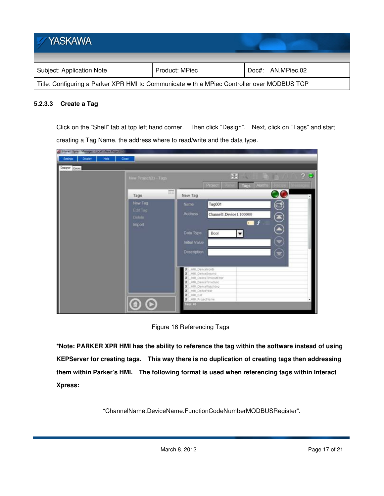| <b>YASKAWA</b>                                                                             |                |                   |
|--------------------------------------------------------------------------------------------|----------------|-------------------|
| Subject: Application Note                                                                  | Product: MPiec | Doc#: AN.MPiec.02 |
| Title: Configuring a Parker XPR HMI to Communicate with a MPiec Controller over MODBUS TCP |                |                   |

## **5.2.3.3 Create a Tag**

Click on the "Shell" tab at top left hand corner. Then click "Design". Next, click on "Tags" and start creating a Tag Name, the address where to read/write and the data type.

| Principle Xpress Manager - Local Miles Project 21<br>Settings<br>Display<br>Holp | Close                 |                                                       |
|----------------------------------------------------------------------------------|-----------------------|-------------------------------------------------------|
| Desgrer Comm.                                                                    |                       | 70<br>田                                               |
|                                                                                  | New Project(2) - Tags | w<br>Project<br><b>Alumns</b><br>Tags                 |
|                                                                                  | 區店<br>Tags            | New Tag                                               |
|                                                                                  | New Tag               | 8<br>Tag001<br>Name                                   |
|                                                                                  | Edit Tag<br>Delete .  | <b>Address</b><br>Channell Device1.100000<br>$\equiv$ |
|                                                                                  | Import                | $\blacksquare$                                        |
|                                                                                  |                       | Data Type<br>Bool<br>$\overline{\phantom{a}}$         |
|                                                                                  |                       | $\mathbf{S}$<br>Initial Value                         |
|                                                                                  |                       | $\circledast$<br>Description                          |
|                                                                                  |                       |                                                       |
|                                                                                  |                       | HAIL DeviceMonth<br>14M_DeviceBecond<br>x             |
|                                                                                  |                       | HM DeviceTimeoutEmin<br>x<br>X HM DeviceTimeSync      |
|                                                                                  |                       | X Hill DeviceWatchdog<br>X HM DeviceYear              |
|                                                                                  |                       | X HBI Ent<br>X Hill Projections                       |
|                                                                                  |                       | Tags: 48                                              |

Figure 16 Referencing Tags

**\*Note: PARKER XPR HMI has the ability to reference the tag within the software instead of using KEPServer for creating tags. This way there is no duplication of creating tags then addressing them within Parker's HMI. The following format is used when referencing tags within Interact Xpress:** 

"ChannelName.DeviceName.FunctionCodeNumberMODBUSRegister".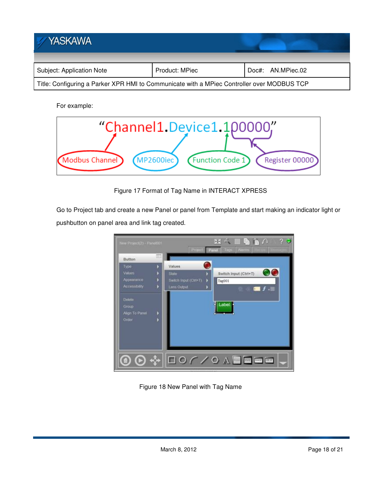

For example:



Figure 17 Format of Tag Name in INTERACT XPRESS

Go to Project tab and create a new Panel or panel from Template and start making an indicator light or pushbutton on panel area and link tag created.



Figure 18 New Panel with Tag Name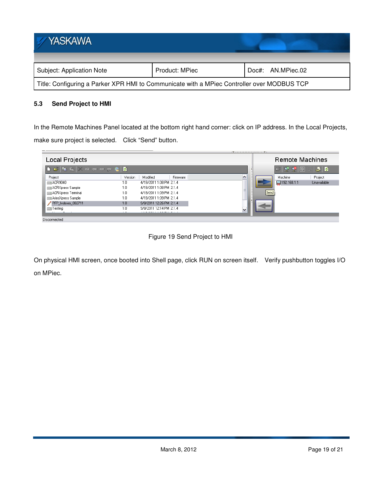| <b>YASKAWA</b>                                                                             |                |                   |  |  |
|--------------------------------------------------------------------------------------------|----------------|-------------------|--|--|
| Subject: Application Note                                                                  | Product: MPiec | Doc#: AN.MPiec.02 |  |  |
| Title: Configuring a Parker XPR HMI to Communicate with a MPiec Controller over MODBUS TCP |                |                   |  |  |

## **5.3 Send Project to HMI**

In the Remote Machines Panel located at the bottom right hand corner: click on IP address. In the Local Projects, make sure project is selected. Click "Send" button.

| Local Projects     |         |                         | <b>Remote Machines</b>                  |                   |              |             |
|--------------------|---------|-------------------------|-----------------------------------------|-------------------|--------------|-------------|
|                    |         |                         | $ \vec{r} \not\in\mathcal{Q}$   $\odot$ | 病事<br><b>COLL</b> |              |             |
| Project            | Version | Modified<br>Firmware    |                                         |                   | Machine      | Project     |
| ACR9040            | 1.0     | 4/19/2011 1:08 PM 2.1.4 |                                         |                   | 2192.168.1.1 | Unavailable |
| ACRXpress Sample   | 1.0     | 4/19/2011 1:08 PM 2.1.4 | $\equiv$                                |                   |              |             |
| ACRXpress Terminal | 1.0     | 4/19/2011 1:09 PM 2.1.4 |                                         | Send              |              |             |
| AriesXpress Sample | 1.0     | 4/19/2011 1:09 PM 2.1.4 |                                         |                   |              |             |
| PFP Indexer 082711 | 1.0     | 9/8/2011 12:26 PM 2.1.4 |                                         |                   |              |             |
| — Testing          | 1.0     | 9/8/2011 12:14 PM 2.1.4 | $\overline{\mathbf{v}}$                 |                   |              |             |
|                    |         | --------                |                                         |                   |              |             |
| Disconnected       |         |                         |                                         |                   |              |             |

Figure 19 Send Project to HMI

On physical HMI screen, once booted into Shell page, click RUN on screen itself. Verify pushbutton toggles I/O on MPiec.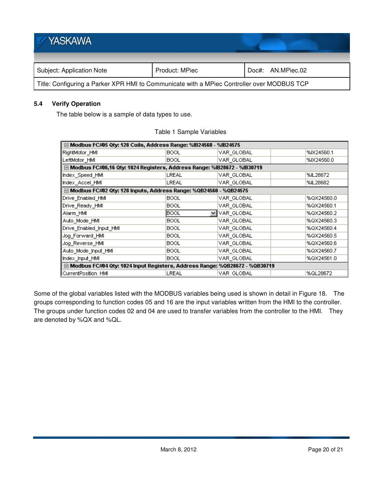| <b>YASKAWA</b>                                                                             |                |                   |  |  |
|--------------------------------------------------------------------------------------------|----------------|-------------------|--|--|
| Subject: Application Note                                                                  | Product: MPiec | Doc#: AN.MPiec.02 |  |  |
| Title: Configuring a Parker XPR HMI to Communicate with a MPiec Controller over MODBUS TCP |                |                   |  |  |

#### **5.4 Verify Operation**

The table below is a sample of data types to use.

| ⊟ Modbus FC#05 Qty: 128 Coils, Address Range: %IB24560 - %IB24575            |           |            |  |            |  |
|------------------------------------------------------------------------------|-----------|------------|--|------------|--|
| RightMotor_HMI                                                               | BOOL      | VAR_GLOBAL |  | %IX24560.1 |  |
| LeftMotor_HMI                                                                | BOOL      | VAR GLOBAL |  | %IX24560.0 |  |
| □ Modbus FC#06,16 Qty: 1024 Registers, Address Range: %IB28672 - %IB30719    |           |            |  |            |  |
| Index Speed HMI                                                              | LREAL     | VAR_GLOBAL |  | %IL28672   |  |
| Index Accel HMI                                                              | LREAL     | VAR_GLOBAL |  | %IL28682   |  |
| □ Modbus FC#02 Qty: 128 Inputs, Address Range: %QB24560 - %QB24575           |           |            |  |            |  |
| Drive Enabled HMI                                                            | BOOL.     | VAR GLOBAL |  | %QX24560.0 |  |
| Drive Ready HMI                                                              | BOOL      | VAR GLOBAL |  | %QX24560.1 |  |
| Alarm HMI                                                                    | BOOL<br>v | VAR_GLOBAL |  | %QX24560.2 |  |
| Auto_Mode_HMI                                                                | BOOL      | VAR GLOBAL |  | %QX24560.3 |  |
| Drive_Enabled_Input_HMI                                                      | BOOL      | VAR GLOBAL |  | %QX24560.4 |  |
| Jog Forward HMI                                                              | BOOL      | VAR GLOBAL |  | %QX24560.5 |  |
| Jog Reverse HMI                                                              | BOOL      | VAR GLOBAL |  | %QX24560.6 |  |
| Auto_Mode_Input_HMI                                                          | BOOL      | VAR GLOBAL |  | %QX24560.7 |  |
| Index_Input_HMI                                                              | BOOL      | VAR GLOBAL |  | %QX24561.0 |  |
| □ Modbus FC#04 Qty: 1024 Input Registers, Address Range: %QB28672 - %QB30719 |           |            |  |            |  |
| CurrentPosition HMI                                                          | LREAL     | VAR GLOBAL |  | %QL28672   |  |

#### Table 1 Sample Variables

Some of the global variables listed with the MODBUS variables being used is shown in detail in Figure 18. The groups corresponding to function codes 05 and 16 are the input variables written from the HMI to the controller. The groups under function codes 02 and 04 are used to transfer variables from the controller to the HMI. They are denoted by %QX and %QL.